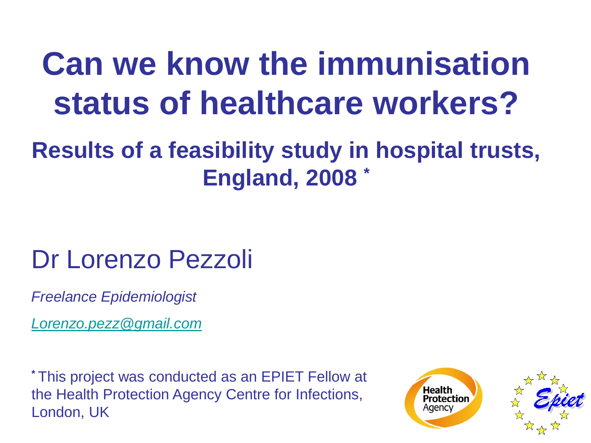## **Can we know the immunisation status of healthcare workers?**

### **Results of a feasibility study in hospital trusts, England, 2008 \***

### Dr Lorenzo Pezzoli

*Freelance Epidemiologist*

*[Lorenzo.pezz@gmail.com](mailto:Lorenzo.pezz@gmail.com)*

**\*** This project was conducted as an EPIET Fellow at the Health Protection Agency Centre for Infections, London, UK



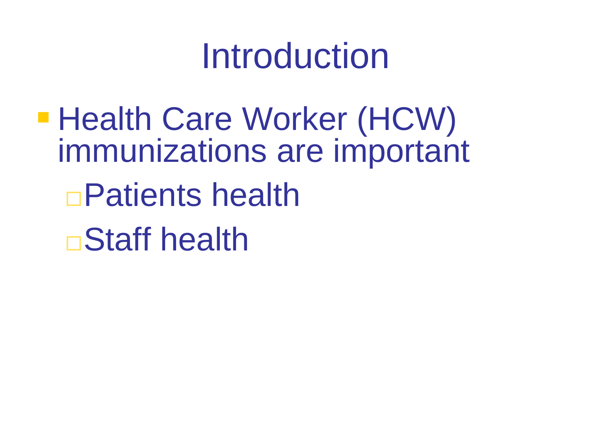## Introduction

■ Health Care Worker (HCW) immunizations are important Patients health Staff health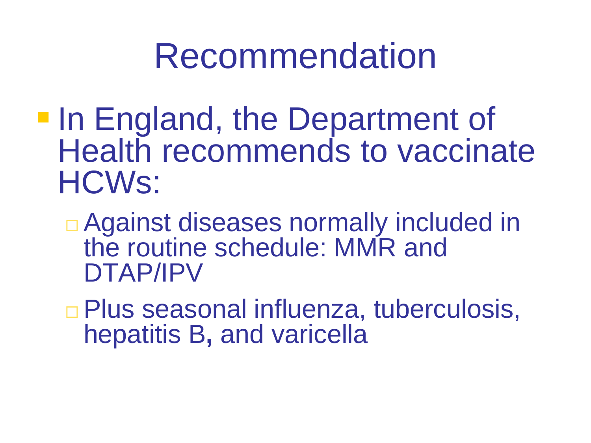## Recommendation

- **In England, the Department of** Health recommends to vaccinate HCWs:
	- □ Against diseases normally included in the routine schedule: MMR and DTAP/IPV
	- Plus seasonal influenza, tuberculosis, hepatitis B**,** and varicella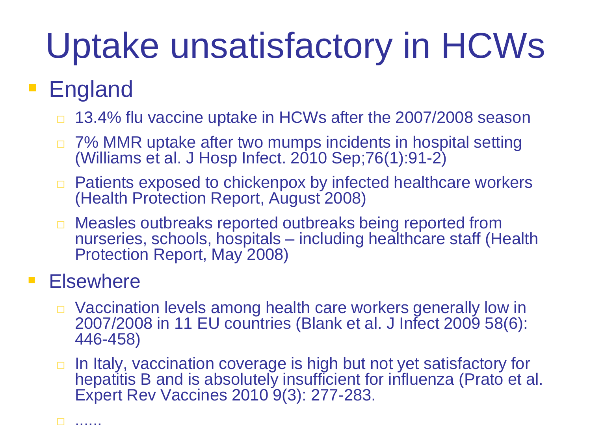# Uptake unsatisfactory in HCWs

### **England**

- □ 13.4% flu vaccine uptake in HCWs after the 2007/2008 season
- □ 7% MMR uptake after two mumps incidents in hospital setting (Williams et al. J Hosp Infect. 2010 Sep;76(1):91-2)
- □ Patients exposed to chickenpox by infected healthcare workers (Health Protection Report, August 2008)
- □ Measles outbreaks reported outbreaks being reported from nurseries, schools, hospitals – including healthcare staff (Health Protection Report, May 2008)

#### **Elsewhere**

- □ Vaccination levels among health care workers generally low in 2007/2008 in 11 EU countries (Blank et al. J Infect 2009 58(6): 446-458)
- $\Box$  In Italy, vaccination coverage is high but not yet satisfactory for hepatitis B and is absolutely insufficient for influenza (Prato et al. Expert Rev Vaccines 2010 9(3): 277-283.

......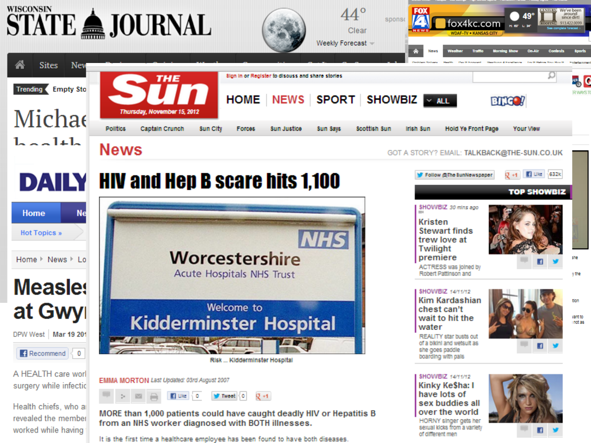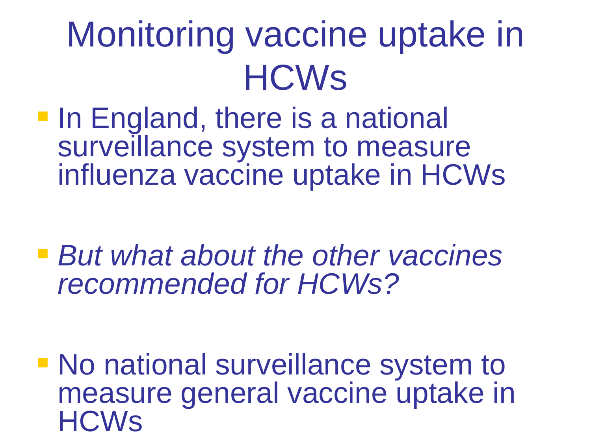# Monitoring vaccine uptake in **HCWs**

**In England, there is a national** surveillance system to measure influenza vaccine uptake in HCWs

 *But what about the other vaccines recommended for HCWs?* 

**No national surveillance system to** measure general vaccine uptake in HCWs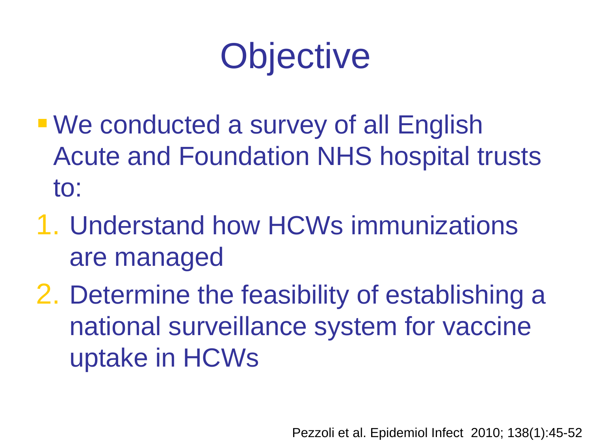# **Objective**

- We conducted a survey of all English Acute and Foundation NHS hospital trusts to:
- 1. Understand how HCWs immunizations are managed
- 2. Determine the feasibility of establishing a national surveillance system for vaccine uptake in HCWs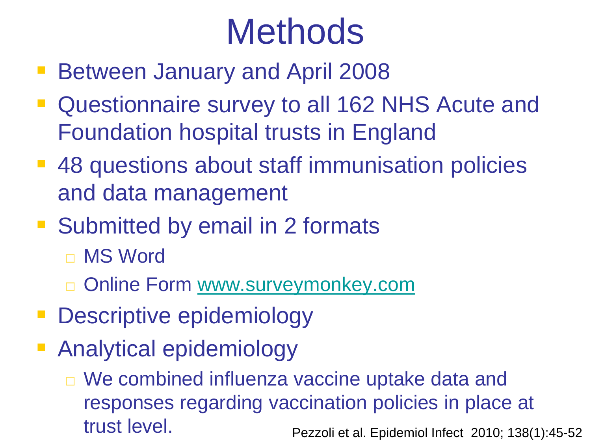# **Methods**

- **Between January and April 2008**
- Questionnaire survey to all 162 NHS Acute and Foundation hospital trusts in England
- 48 questions about staff immunisation policies and data management
- Submitted by email in 2 formats
	- □ MS Word
	- □ Online Form [www.surveymonkey.com](http://www.surveymonkey.com/)
- **Descriptive epidemiology**
- Analytical epidemiology
	- □ We combined influenza vaccine uptake data and responses regarding vaccination policies in place at trust level. Pezzoli et al. Epidemiol Infect 2010; 138(1):45-52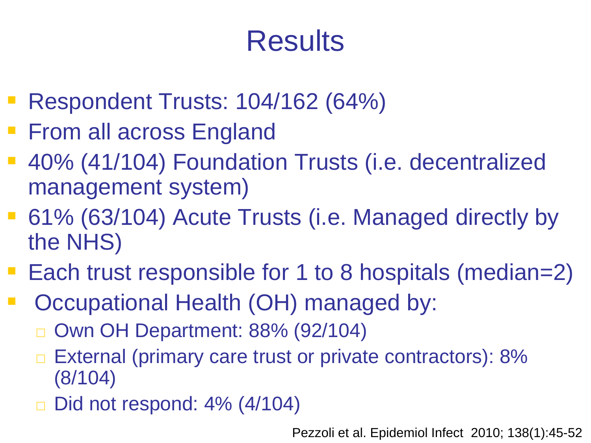### **Results**

- Respondent Trusts: 104/162 (64%)
- **Firm all across England**
- 40% (41/104) Foundation Trusts (i.e. decentralized management system)
- 61% (63/104) Acute Trusts (i.e. Managed directly by the NHS)
- Each trust responsible for 1 to 8 hospitals (median=2)
- Occupational Health (OH) managed by:
	- Own OH Department: 88% (92/104)
	- External (primary care trust or private contractors): 8% (8/104)
	- □ Did not respond: 4% (4/104)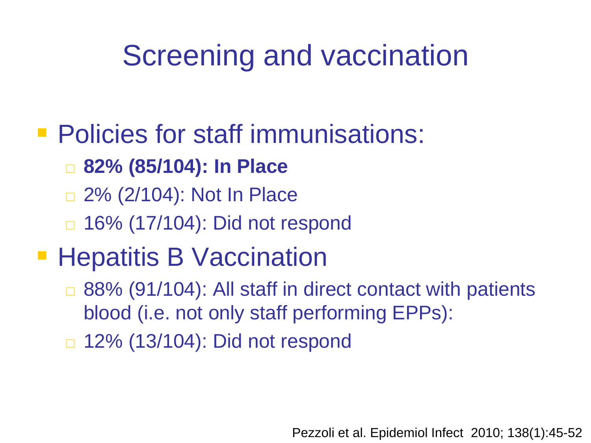### Screening and vaccination

### **Policies for staff immunisations:**

- **82% (85/104): In Place**
- □ 2% (2/104): Not In Place
- □ 16% (17/104): Did not respond

### **Hepatitis B Vaccination**

- □ 88% (91/104): All staff in direct contact with patients blood (i.e. not only staff performing EPPs):
- □ 12% (13/104): Did not respond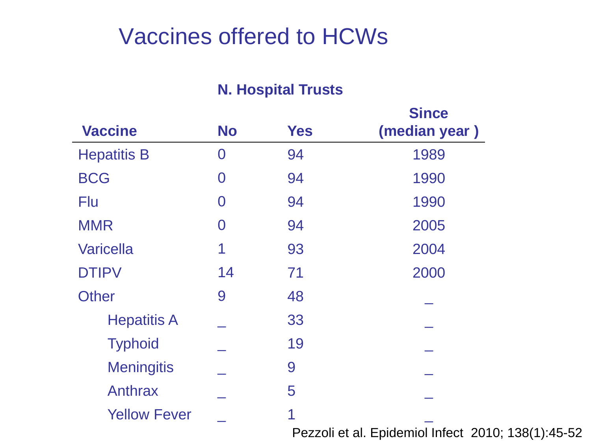#### Vaccines offered to HCWs

#### **N. Hospital Trusts**

|                     | <b>Since</b>   |            |                                                    |  |  |  |
|---------------------|----------------|------------|----------------------------------------------------|--|--|--|
| <b>Vaccine</b>      | <b>No</b>      | <b>Yes</b> | (median year)                                      |  |  |  |
| <b>Hepatitis B</b>  | $\overline{0}$ | 94         | 1989                                               |  |  |  |
| <b>BCG</b>          | 0              | 94         | 1990                                               |  |  |  |
| Flu                 | O              | 94         | 1990                                               |  |  |  |
| <b>MMR</b>          | 0              | 94         | 2005                                               |  |  |  |
| <b>Varicella</b>    |                | 93         | 2004                                               |  |  |  |
| <b>DTIPV</b>        | 14             | 71         | 2000                                               |  |  |  |
| <b>Other</b>        | 9              | 48         |                                                    |  |  |  |
| <b>Hepatitis A</b>  |                | 33         |                                                    |  |  |  |
| <b>Typhoid</b>      |                | 19         |                                                    |  |  |  |
| <b>Meningitis</b>   |                | 9          |                                                    |  |  |  |
| Anthrax             |                | 5          |                                                    |  |  |  |
| <b>Yellow Fever</b> |                | 1          |                                                    |  |  |  |
|                     |                |            | Pezzoli et al. Epidemiol Infect 2010; 138(1):45-52 |  |  |  |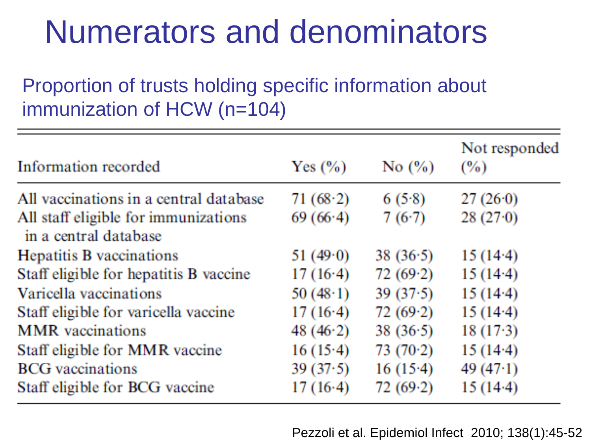### Numerators and denominators

#### Proportion of trusts holding specific information about immunization of HCW (n=104)

| Information recorded                                          | Yes $(\% )$ | No $(\% )$ | Not responded<br>(%) |
|---------------------------------------------------------------|-------------|------------|----------------------|
| All vaccinations in a central database                        | 71 $(68.2)$ | 6(5.8)     | 27(26.0)             |
| All staff eligible for immunizations<br>in a central database | 69(66.4)    | 7(6.7)     | 28(27.0)             |
| Hepatitis B vaccinations                                      | 51 $(49.0)$ | 38(36.5)   | $15(14-4)$           |
| Staff eligible for hepatitis B vaccine                        | 17(16.4)    | 72(69.2)   | $15(14-4)$           |
| Varicella vaccinations                                        | 50 $(48.1)$ | 39(37.5)   | $15(14-4)$           |
| Staff eligible for varicella vaccine                          | 17(16.4)    | 72(69.2)   | $15(14-4)$           |
| <b>MMR</b> vaccinations                                       | 48 $(46.2)$ | 38(36.5)   | $18(17-3)$           |
| Staff eligible for MMR vaccine                                | 16(15.4)    | 73(70.2)   | $15(14-4)$           |
| <b>BCG</b> vaccinations                                       | 39(37.5)    | 16(15.4)   | 49 $(47.1)$          |
| Staff eligible for BCG vaccine                                | 17(16.4)    | $72(69-2)$ | $15(14-4)$           |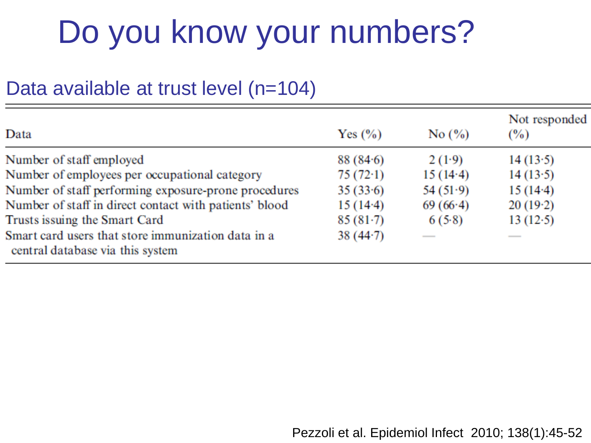### Do you know your numbers?

#### Data available at trust level (n=104)

| Data                                                                                   | Yes $(\% )$ | No $(\% )$ | Not responded<br>$\frac{9}{6}$ |
|----------------------------------------------------------------------------------------|-------------|------------|--------------------------------|
| Number of staff employed                                                               | 88(84.6)    | 2(1.9)     | 14(13.5)                       |
| Number of employees per occupational category                                          | 75(72.1)    | 15(14.4)   | 14(13.5)                       |
| Number of staff performing exposure-prone procedures                                   | 35(33.6)    | 54(51.9)   | 15(14.4)                       |
| Number of staff in direct contact with patients' blood                                 | $15(14-4)$  | 69(66.4)   | 20(19.2)                       |
| Trusts issuing the Smart Card                                                          | $85(81-7)$  | 6(5.8)     | 13(12.5)                       |
| Smart card users that store immunization data in a<br>central database via this system | 38(44.7)    |            |                                |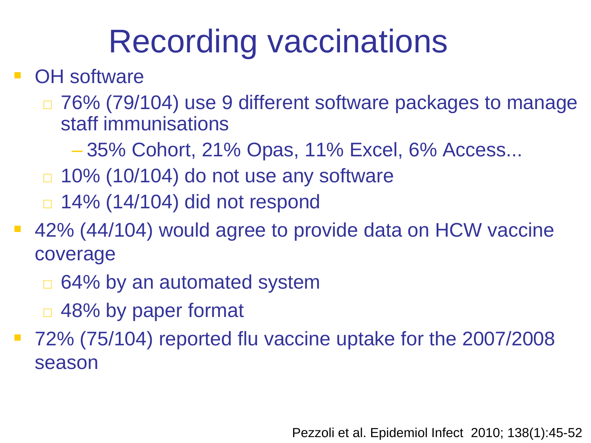### Recording vaccinations

#### OH software

- □ 76% (79/104) use 9 different software packages to manage staff immunisations
	- 35% Cohort, 21% Opas, 11% Excel, 6% Access...
- $\Box$  10% (10/104) do not use any software
- $\Box$  **14% (14/104) did not respond**
- 42% (44/104) would agree to provide data on HCW vaccine coverage
	- □ 64% by an automated system
	- □ 48% by paper format
- 72% (75/104) reported flu vaccine uptake for the 2007/2008 season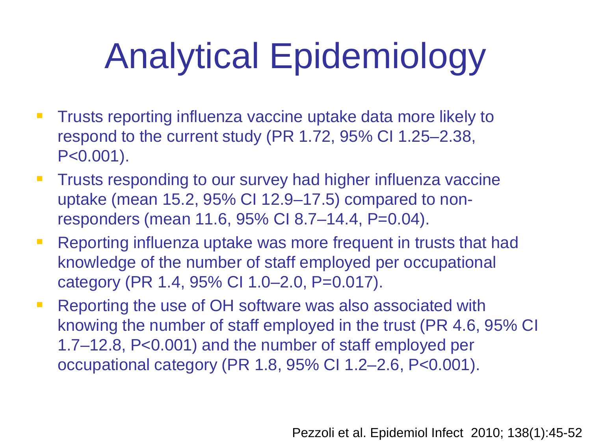# Analytical Epidemiology

- **Trusts reporting influenza vaccine uptake data more likely to** respond to the current study (PR 1.72, 95% CI 1.25–2.38, P<0.001).
- **Trusts responding to our survey had higher influenza vaccine** uptake (mean 15.2, 95% CI 12.9–17.5) compared to nonresponders (mean 11.6, 95% CI 8.7–14.4, P=0.04).
- **Reporting influenza uptake was more frequent in trusts that had** knowledge of the number of staff employed per occupational category (PR 1.4, 95% CI 1.0–2.0, P=0.017).
- **Reporting the use of OH software was also associated with** knowing the number of staff employed in the trust (PR 4.6, 95% CI 1.7–12.8, P<0.001) and the number of staff employed per occupational category (PR 1.8, 95% CI 1.2–2.6, P<0.001).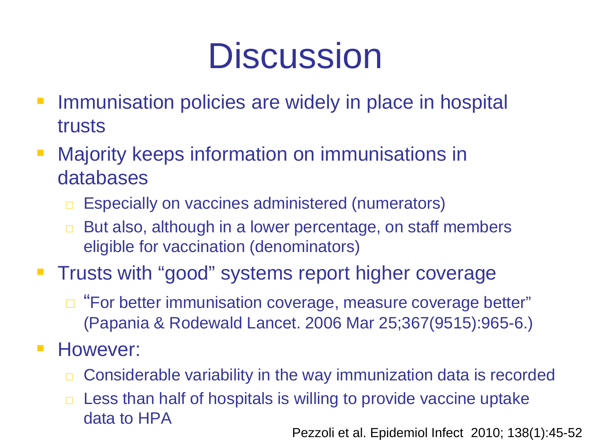# **Discussion**

- **Immunisation policies are widely in place in hospital** trusts
- **Majority keeps information on immunisations in** databases
	- □ Especially on vaccines administered (numerators)
	- □ But also, although in a lower percentage, on staff members eligible for vaccination (denominators)
- **Trusts with "good" systems report higher coverage** 
	- □ "For better immunisation coverage, measure coverage better" (Papania & Rodewald Lancet. 2006 Mar 25;367(9515):965-6.)
- **However:** 
	- □ Considerable variability in the way immunization data is recorded
	- $\Box$  Less than half of hospitals is willing to provide vaccine uptake data to HPA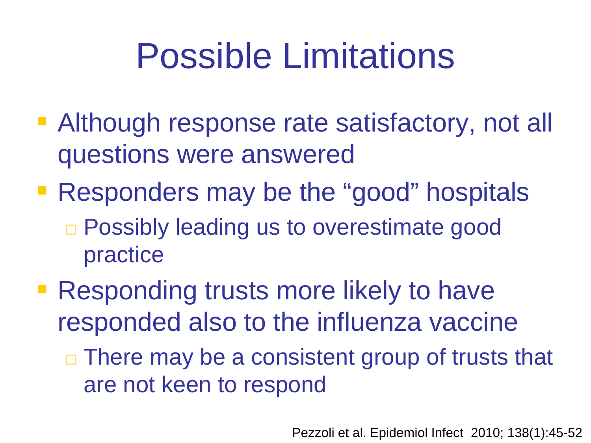# Possible Limitations

- **Although response rate satisfactory, not all** questions were answered
- **Responders may be the "good" hospitals** □ Possibly leading us to overestimate good practice
- **Responding trusts more likely to have** responded also to the influenza vaccine
	- $\Box$  There may be a consistent group of trusts that are not keen to respond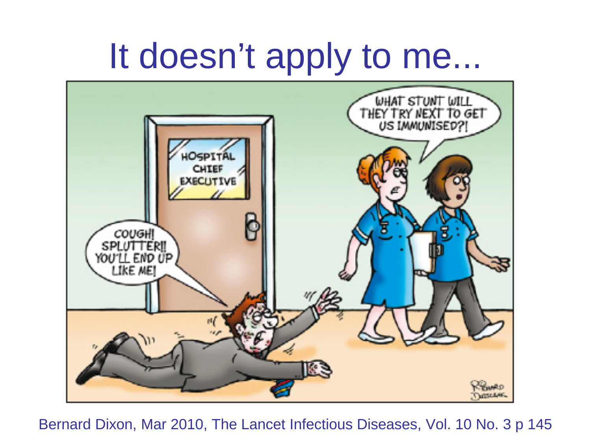## It doesn't apply to me...



Bernard Dixon, Mar 2010, The Lancet Infectious Diseases, Vol. 10 No. 3 p 145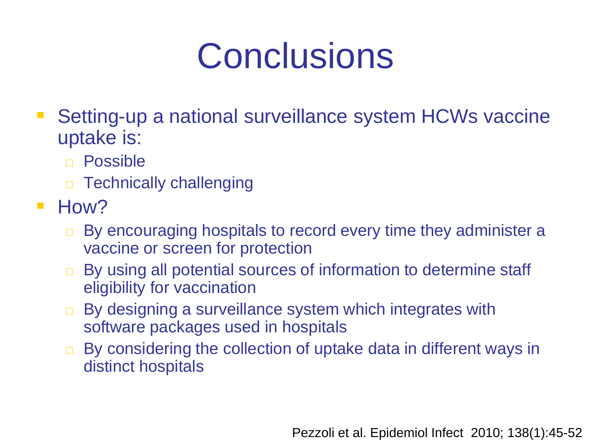# **Conclusions**

- Setting-up a national surveillance system HCWs vaccine uptake is:
	- Possible
	- **D** Technically challenging
- $\blacksquare$  How?
	- □ By encouraging hospitals to record every time they administer a vaccine or screen for protection
	- By using all potential sources of information to determine staff eligibility for vaccination
	- □ By designing a surveillance system which integrates with software packages used in hospitals
	- □ By considering the collection of uptake data in different ways in distinct hospitals